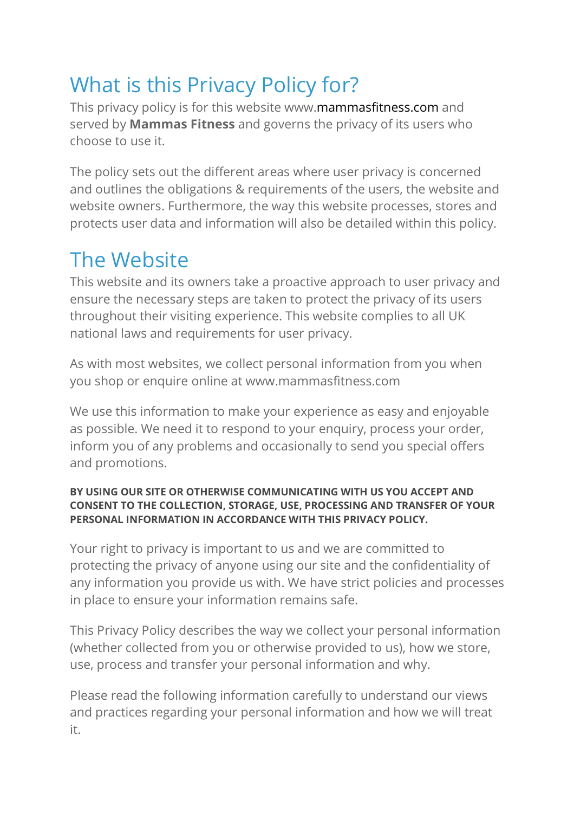# What is this Privacy Policy for?

This privacy policy is for this website www.mammasfitness.com and served by **Mammas Fitness** and governs the privacy of its users who choose to use it.

The policy sets out the different areas where user privacy is concerned and outlines the obligations & requirements of the users, the website and website owners. Furthermore, the way this website processes, stores and protects user data and information will also be detailed within this policy.

# The Website

This website and its owners take a proactive approach to user privacy and ensure the necessary steps are taken to protect the privacy of its users throughout their visiting experience. This website complies to all UK national laws and requirements for user privacy.

As with most websites, we collect personal information from you when you shop or enquire online at www.mammasfitness.com

We use this information to make your experience as easy and enjoyable as possible. We need it to respond to your enquiry, process your order, inform you of any problems and occasionally to send you special offers and promotions.

#### **BY USING OUR SITE OR OTHERWISE COMMUNICATING WITH US YOU ACCEPT AND CONSENT TO THE COLLECTION, STORAGE, USE, PROCESSING AND TRANSFER OF YOUR PERSONAL INFORMATION IN ACCORDANCE WITH THIS PRIVACY POLICY.**

Your right to privacy is important to us and we are committed to protecting the privacy of anyone using our site and the confidentiality of any information you provide us with. We have strict policies and processes in place to ensure your information remains safe.

This Privacy Policy describes the way we collect your personal information (whether collected from you or otherwise provided to us), how we store, use, process and transfer your personal information and why.

Please read the following information carefully to understand our views and practices regarding your personal information and how we will treat it.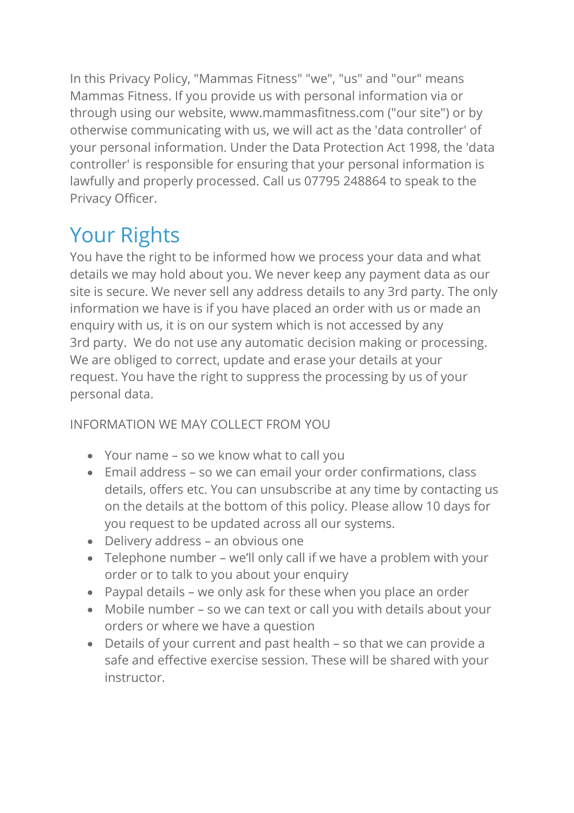In this Privacy Policy, "Mammas Fitness" "we", "us" and "our" means Mammas Fitness. If you provide us with personal information via or through using our website, www.mammasfitness.com ("our site") or by otherwise communicating with us, we will act as the 'data controller' of your personal information. Under the Data Protection Act 1998, the 'data controller' is responsible for ensuring that your personal information is lawfully and properly processed. Call us 07795 248864 to speak to the Privacy Officer.

# Your Rights

You have the right to be informed how we process your data and what details we may hold about you. We never keep any payment data as our site is secure. We never sell any address details to any 3rd party. The only information we have is if you have placed an order with us or made an enquiry with us, it is on our system which is not accessed by any 3rd party. We do not use any automatic decision making or processing. We are obliged to correct, update and erase your details at your request. You have the right to suppress the processing by us of your personal data.

### INFORMATION WE MAY COLLECT FROM YOU

- Your name so we know what to call you
- Email address so we can email your order confirmations, class details, offers etc. You can unsubscribe at any time by contacting us on the details at the bottom of this policy. Please allow 10 days for you request to be updated across all our systems.
- Delivery address an obvious one
- Telephone number we'll only call if we have a problem with your order or to talk to you about your enquiry
- Paypal details we only ask for these when you place an order
- Mobile number so we can text or call you with details about your orders or where we have a question
- Details of your current and past health so that we can provide a safe and effective exercise session. These will be shared with your instructor.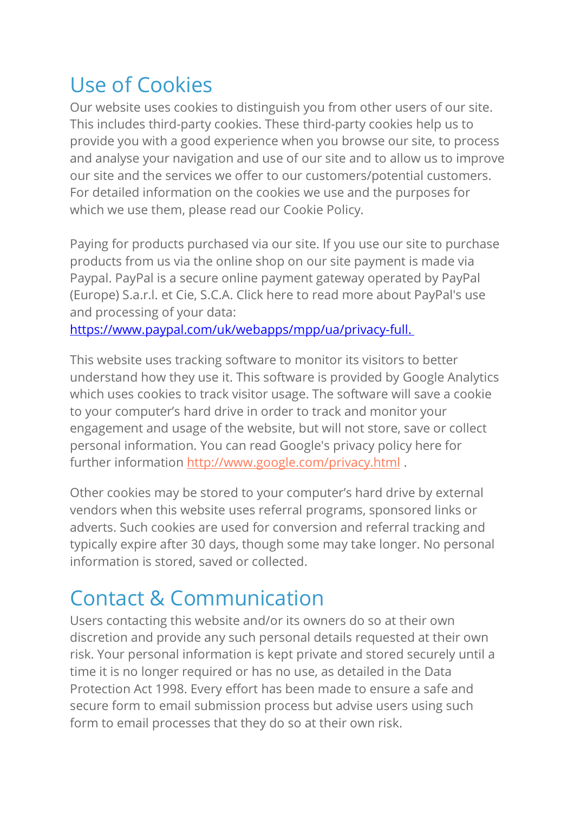# Use of Cookies

Our website uses cookies to distinguish you from other users of our site. This includes third-party cookies. These third-party cookies help us to provide you with a good experience when you browse our site, to process and analyse your navigation and use of our site and to allow us to improve our site and the services we offer to our customers/potential customers. For detailed information on the cookies we use and the purposes for which we use them, please read our Cookie Policy.

Paying for products purchased via our site. If you use our site to purchase products from us via the online shop on our site payment is made via Paypal. PayPal is a secure online payment gateway operated by PayPal (Europe) S.a.r.l. et Cie, S.C.A. Click here to read more about PayPal's use and processing of your data:

https://www.paypal.com/uk/webapps/mpp/ua/privacy-full.

This website uses tracking software to monitor its visitors to better understand how they use it. This software is provided by Google Analytics which uses cookies to track visitor usage. The software will save a cookie to your computer's hard drive in order to track and monitor your engagement and usage of the website, but will not store, save or collect personal information. You can read Google's privacy policy here for further information http://www.google.com/privacy.html .

Other cookies may be stored to your computer's hard drive by external vendors when this website uses referral programs, sponsored links or adverts. Such cookies are used for conversion and referral tracking and typically expire after 30 days, though some may take longer. No personal information is stored, saved or collected.

# Contact & Communication

Users contacting this website and/or its owners do so at their own discretion and provide any such personal details requested at their own risk. Your personal information is kept private and stored securely until a time it is no longer required or has no use, as detailed in the Data Protection Act 1998. Every effort has been made to ensure a safe and secure form to email submission process but advise users using such form to email processes that they do so at their own risk.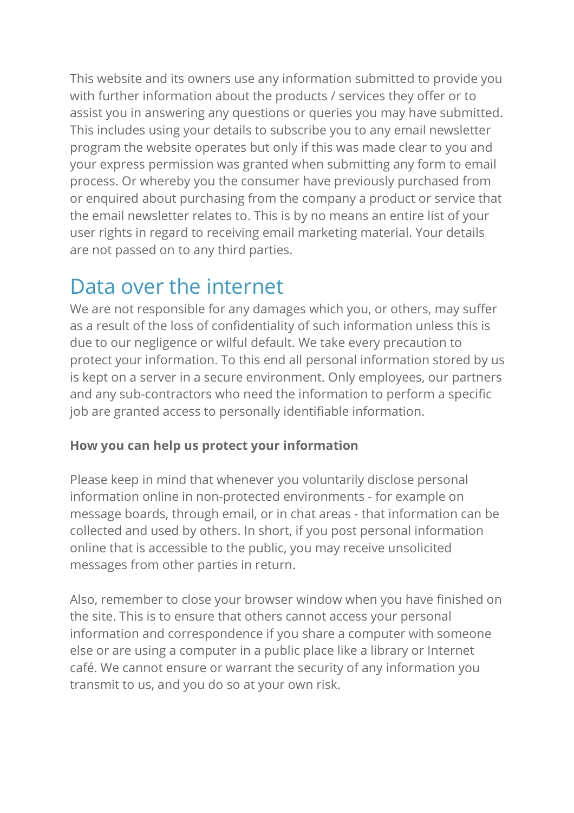This website and its owners use any information submitted to provide you with further information about the products / services they offer or to assist you in answering any questions or queries you may have submitted. This includes using your details to subscribe you to any email newsletter program the website operates but only if this was made clear to you and your express permission was granted when submitting any form to email process. Or whereby you the consumer have previously purchased from or enquired about purchasing from the company a product or service that the email newsletter relates to. This is by no means an entire list of your user rights in regard to receiving email marketing material. Your details are not passed on to any third parties.

### Data over the internet

We are not responsible for any damages which you, or others, may suffer as a result of the loss of confidentiality of such information unless this is due to our negligence or wilful default. We take every precaution to protect your information. To this end all personal information stored by us is kept on a server in a secure environment. Only employees, our partners and any sub-contractors who need the information to perform a specific job are granted access to personally identifiable information.

#### **How you can help us protect your information**

Please keep in mind that whenever you voluntarily disclose personal information online in non-protected environments - for example on message boards, through email, or in chat areas - that information can be collected and used by others. In short, if you post personal information online that is accessible to the public, you may receive unsolicited messages from other parties in return.

Also, remember to close your browser window when you have finished on the site. This is to ensure that others cannot access your personal information and correspondence if you share a computer with someone else or are using a computer in a public place like a library or Internet café. We cannot ensure or warrant the security of any information you transmit to us, and you do so at your own risk.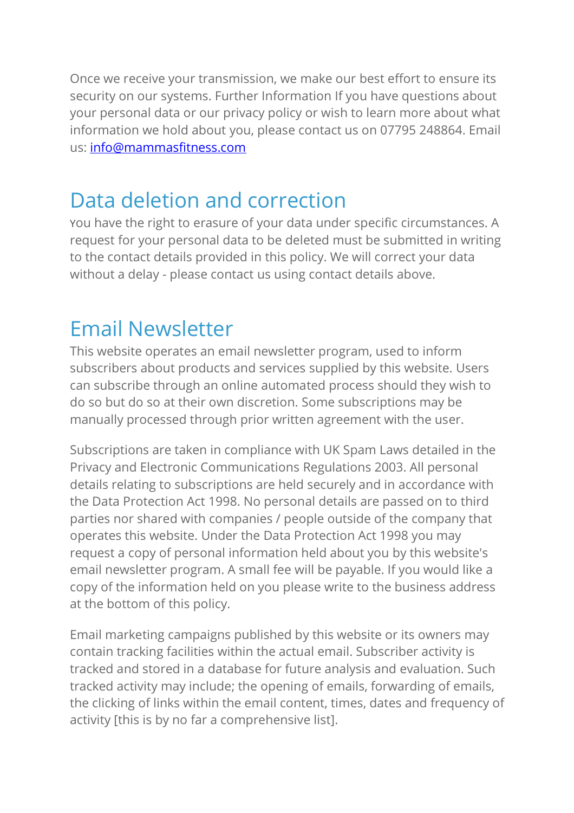Once we receive your transmission, we make our best effort to ensure its security on our systems. Further Information If you have questions about your personal data or our privacy policy or wish to learn more about what information we hold about you, please contact us on 07795 248864. Email us: info@mammasfitness.com

### Data deletion and correction

You have the right to erasure of your data under specific circumstances. A request for your personal data to be deleted must be submitted in writing to the contact details provided in this policy. We will correct your data without a delay - please contact us using contact details above.

### Email Newsletter

This website operates an email newsletter program, used to inform subscribers about products and services supplied by this website. Users can subscribe through an online automated process should they wish to do so but do so at their own discretion. Some subscriptions may be manually processed through prior written agreement with the user.

Subscriptions are taken in compliance with UK Spam Laws detailed in the Privacy and Electronic Communications Regulations 2003. All personal details relating to subscriptions are held securely and in accordance with the Data Protection Act 1998. No personal details are passed on to third parties nor shared with companies / people outside of the company that operates this website. Under the Data Protection Act 1998 you may request a copy of personal information held about you by this website's email newsletter program. A small fee will be payable. If you would like a copy of the information held on you please write to the business address at the bottom of this policy.

Email marketing campaigns published by this website or its owners may contain tracking facilities within the actual email. Subscriber activity is tracked and stored in a database for future analysis and evaluation. Such tracked activity may include; the opening of emails, forwarding of emails, the clicking of links within the email content, times, dates and frequency of activity [this is by no far a comprehensive list].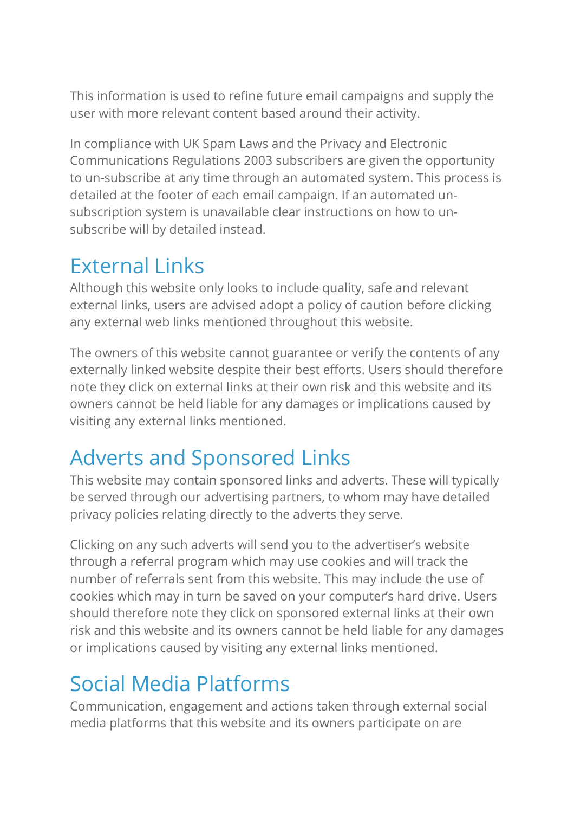This information is used to refine future email campaigns and supply the user with more relevant content based around their activity.

In compliance with UK Spam Laws and the Privacy and Electronic Communications Regulations 2003 subscribers are given the opportunity to un-subscribe at any time through an automated system. This process is detailed at the footer of each email campaign. If an automated unsubscription system is unavailable clear instructions on how to unsubscribe will by detailed instead.

### External Links

Although this website only looks to include quality, safe and relevant external links, users are advised adopt a policy of caution before clicking any external web links mentioned throughout this website.

The owners of this website cannot guarantee or verify the contents of any externally linked website despite their best efforts. Users should therefore note they click on external links at their own risk and this website and its owners cannot be held liable for any damages or implications caused by visiting any external links mentioned.

# Adverts and Sponsored Links

This website may contain sponsored links and adverts. These will typically be served through our advertising partners, to whom may have detailed privacy policies relating directly to the adverts they serve.

Clicking on any such adverts will send you to the advertiser's website through a referral program which may use cookies and will track the number of referrals sent from this website. This may include the use of cookies which may in turn be saved on your computer's hard drive. Users should therefore note they click on sponsored external links at their own risk and this website and its owners cannot be held liable for any damages or implications caused by visiting any external links mentioned.

# Social Media Platforms

Communication, engagement and actions taken through external social media platforms that this website and its owners participate on are